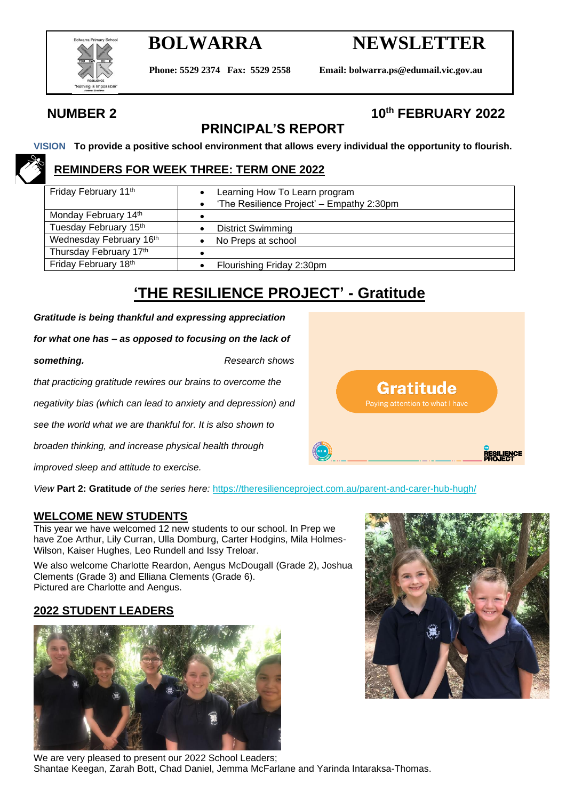

# **BOLWARRA NEWSLETTER**

Gratitude Paying attention to what I have

**Phone: 5529 2374 Fax: 5529 2558 Email: bolwarra.ps@edumail.vic.gov.au**

## **NUMBER 2 10th FEBRUARY 2022**

## **PRINCIPAL'S REPORT**

**VISION To provide a positive school environment that allows every individual the opportunity to flourish.**

### **REMINDERS FOR WEEK THREE: TERM ONE 2022**

| Friday February 11th    | Learning How To Learn program<br>'The Resilience Project' - Empathy 2:30pm |  |  |  |
|-------------------------|----------------------------------------------------------------------------|--|--|--|
| Monday February 14th    |                                                                            |  |  |  |
| Tuesday February 15th   | <b>District Swimming</b>                                                   |  |  |  |
| Wednesday February 16th | No Preps at school                                                         |  |  |  |
| Thursday February 17th  |                                                                            |  |  |  |
| Friday February 18th    | Flourishing Friday 2:30pm                                                  |  |  |  |

## **'THE RESILIENCE PROJECT' - Gratitude**

*Gratitude is being thankful and expressing appreciation* 

*for what one has – as opposed to focusing on the lack of* 

**something.** *Research shows that practicing gratitude rewires our brains to overcome the negativity bias (which can lead to anxiety and depression) and see the world what we are thankful for. It is also shown to* 

*broaden thinking, and increase physical health through* 

*improved sleep and attitude to exercise.*

*View* **Part 2: Gratitude** *of the series here:* <https://theresilienceproject.com.au/parent-and-carer-hub-hugh/>

#### **WELCOME NEW STUDENTS**

This year we have welcomed 12 new students to our school. In Prep we have Zoe Arthur, Lily Curran, Ulla Domburg, Carter Hodgins, Mila Holmes-Wilson, Kaiser Hughes, Leo Rundell and Issy Treloar.

We also welcome Charlotte Reardon, Aengus McDougall (Grade 2), Joshua Clements (Grade 3) and Elliana Clements (Grade 6). Pictured are Charlotte and Aengus.

#### **2022 STUDENT LEADERS**



We are very pleased to present our 2022 School Leaders; Shantae Keegan, Zarah Bott, Chad Daniel, Jemma McFarlane and Yarinda Intaraksa-Thomas.



**RESILIENCE**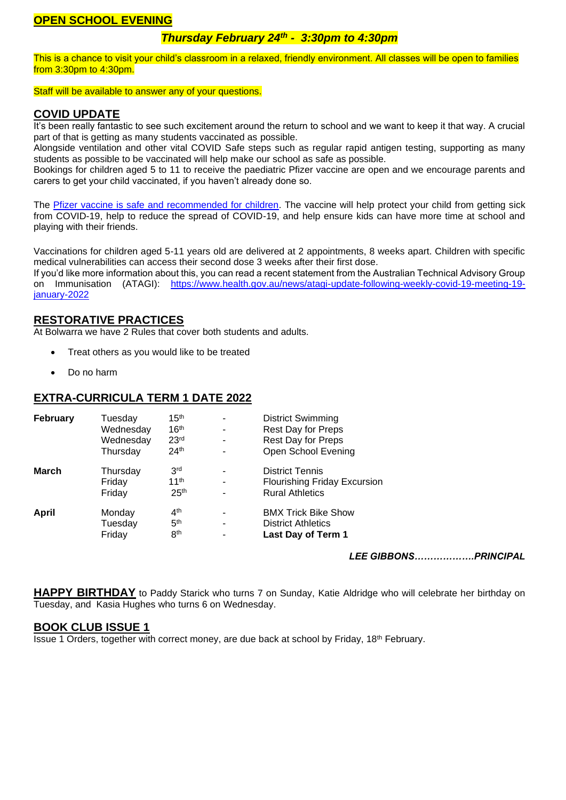#### **OPEN SCHOOL EVENING**

#### *Thursday February 24th - 3:30pm to 4:30pm*

This is a chance to visit your child's classroom in a relaxed, friendly environment. All classes will be open to families from 3:30pm to 4:30pm.

Staff will be available to answer any of your questions.

#### **COVID UPDATE**

It's been really fantastic to see such excitement around the return to school and we want to keep it that way. A crucial part of that is getting as many students vaccinated as possible.

Alongside ventilation and other vital COVID Safe steps such as regular rapid antigen testing, supporting as many students as possible to be vaccinated will help make our school as safe as possible.

Bookings for children aged 5 to 11 to receive the paediatric Pfizer vaccine are open and we encourage parents and carers to get your child vaccinated, if you haven't already done so.

The [Pfizer vaccine is safe and recommended for children.](https://www.health.gov.au/resources/publications/atagi-recommendations-on-pfizer-covid-19-vaccine-use-in-children-aged-5-to-11-years) The vaccine will help protect your child from getting sick from COVID-19, help to reduce the spread of COVID-19, and help ensure kids can have more time at school and playing with their friends.

Vaccinations for children aged 5-11 years old are delivered at 2 appointments, 8 weeks apart. Children with specific medical vulnerabilities can access their second dose 3 weeks after their first dose.

If you'd like more information about this, you can read a recent statement from the Australian Technical Advisory Group on Immunisation (ATAGI): [https://www.health.gov.au/news/atagi-update-following-weekly-covid-19-meeting-19](https://www.health.gov.au/news/atagi-update-following-weekly-covid-19-meeting-19-january-2022) [january-2022](https://www.health.gov.au/news/atagi-update-following-weekly-covid-19-meeting-19-january-2022) 

#### **RESTORATIVE PRACTICES**

At Bolwarra we have 2 Rules that cover both students and adults.

- Treat others as you would like to be treated
- Do no harm

#### **EXTRA-CURRICULA TERM 1 DATE 2022**

| February     | Tuesday   | 15 <sup>th</sup> | ۰ | <b>District Swimming</b>            |
|--------------|-----------|------------------|---|-------------------------------------|
|              | Wednesday | 16 <sup>th</sup> | - | <b>Rest Day for Preps</b>           |
|              | Wednesday | 23 <sup>rd</sup> | ۰ | Rest Day for Preps                  |
|              | Thursday  | 24 <sup>th</sup> |   | Open School Evening                 |
| March        | Thursday  | 3 <sup>rd</sup>  | - | <b>District Tennis</b>              |
|              | Friday    | 11 <sup>th</sup> | ۰ | <b>Flourishing Friday Excursion</b> |
|              | Friday    | 25 <sup>th</sup> | ۰ | <b>Rural Athletics</b>              |
| <b>April</b> | Monday    | 4 <sup>th</sup>  | ۰ | <b>BMX Trick Bike Show</b>          |
|              | Tuesday   | 5 <sup>th</sup>  | ۰ | <b>District Athletics</b>           |
|              | Friday    | 8 <sup>th</sup>  | ۰ | Last Day of Term 1                  |

*LEE GIBBONS……………….PRINCIPAL*

**HAPPY BIRTHDAY** to Paddy Starick who turns 7 on Sunday, Katie Aldridge who will celebrate her birthday on Tuesday, and Kasia Hughes who turns 6 on Wednesday.

#### **BOOK CLUB ISSUE 1**

Issue 1 Orders, together with correct money, are due back at school by Friday, 18th February.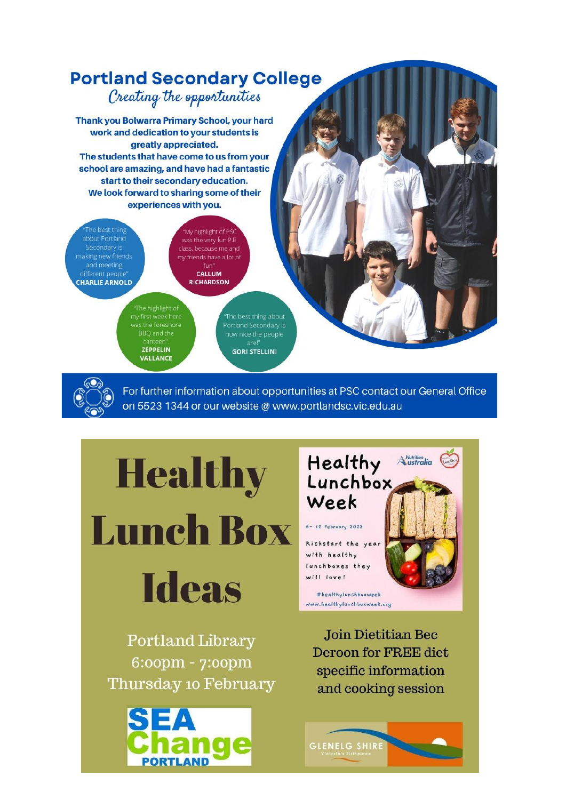

For further information about opportunities at PSC contact our General Office on 5523 1344 or our website @ www.portlandsc.vic.edu.au

**Lunch Box** 

Healthy



Portland Library 6:00pm - 7:00pm Thursday 10 February





Join Dietitian Bec **Deroon for FREE diet** specific information and cooking session